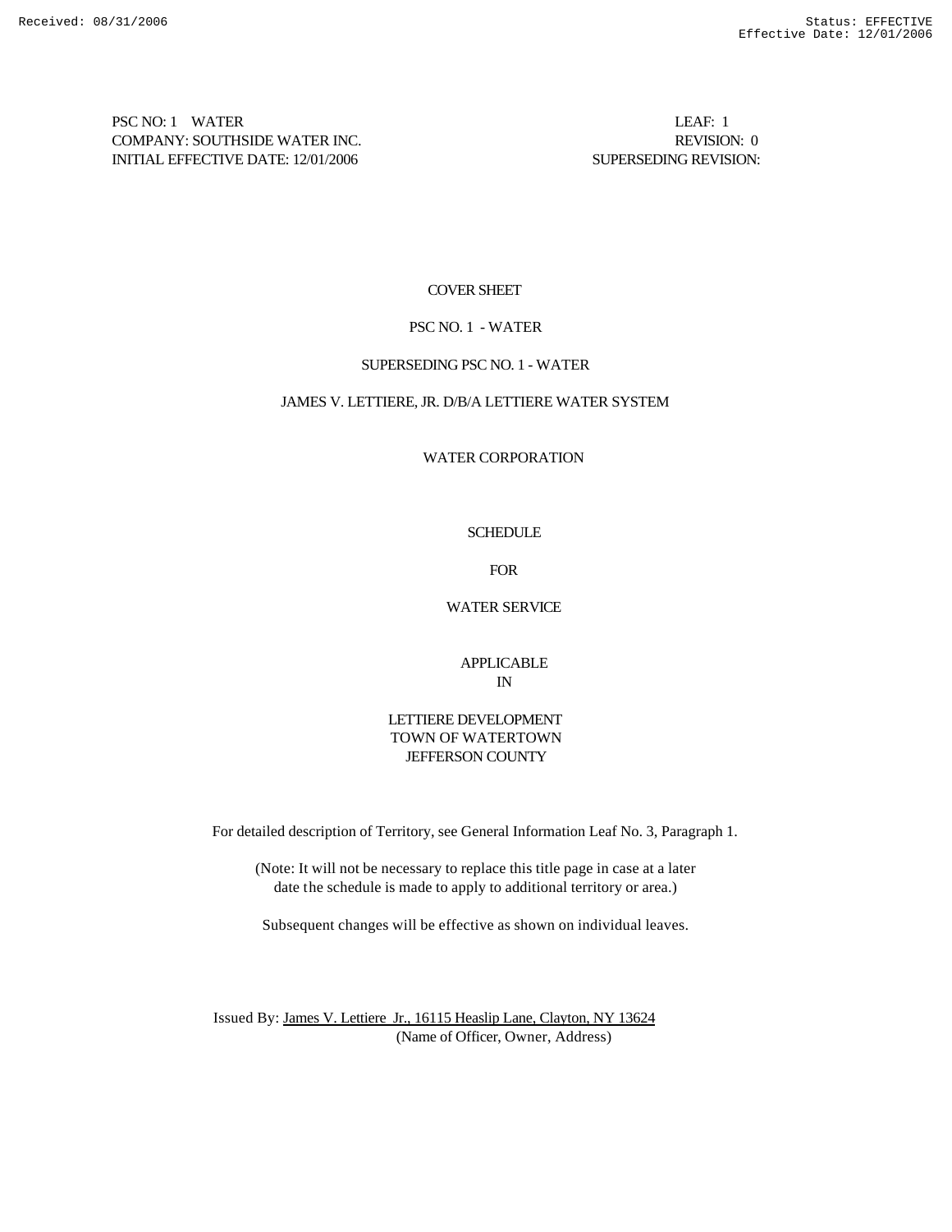PSC NO: 1 WATER LEAF: 1 COMPANY: SOUTHSIDE WATER INC. REVISION: 0 INITIAL EFFECTIVE DATE: 12/01/2006 SUPERSEDING REVISION:

## COVER SHEET

## PSC NO. 1 - WATER

### SUPERSEDING PSC NO. 1 - WATER

## JAMES V. LETTIERE, JR. D/B/A LETTIERE WATER SYSTEM

## WATER CORPORATION

## **SCHEDULE**

FOR

## WATER SERVICE

## APPLICABLE IN

## LETTIERE DEVELOPMENT TOWN OF WATERTOWN JEFFERSON COUNTY

For detailed description of Territory, see General Information Leaf No. 3, Paragraph 1.

(Note: It will not be necessary to replace this title page in case at a later date the schedule is made to apply to additional territory or area.)

Subsequent changes will be effective as shown on individual leaves.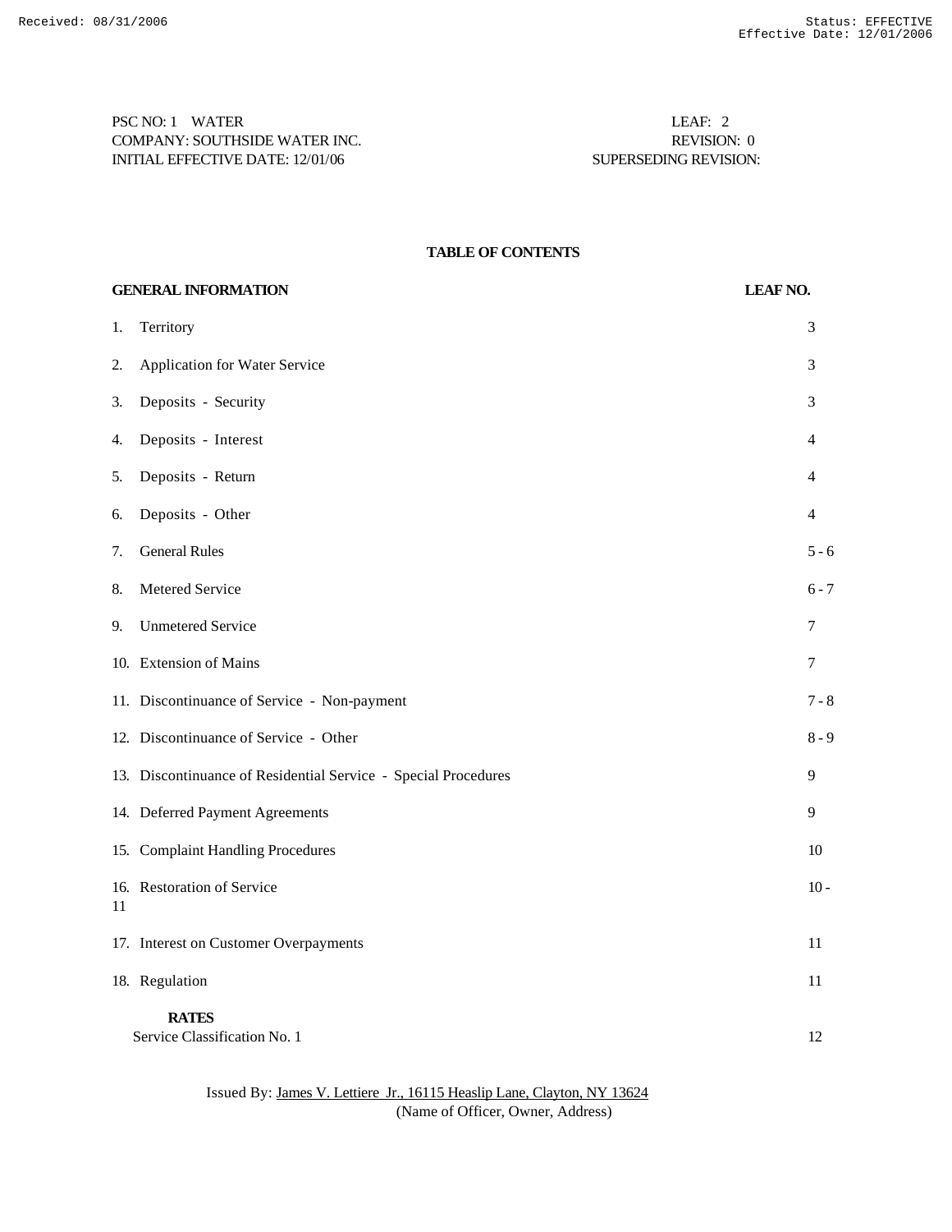PSC NO: 1 WATER LEAF: 2 COMPANY: SOUTHSIDE WATER INC. REVISION: 0 INITIAL EFFECTIVE DATE: 12/01/06 SUPERSEDING REVISION:

## **TABLE OF CONTENTS**

| <b>GENERAL INFORMATION</b> |                                                                | <b>LEAF NO.</b> |
|----------------------------|----------------------------------------------------------------|-----------------|
| 1.                         | Territory                                                      | 3               |
| 2.                         | <b>Application for Water Service</b>                           | 3               |
| 3.                         | Deposits - Security                                            | 3               |
| 4.                         | Deposits - Interest                                            | 4               |
| 5.                         | Deposits - Return                                              | 4               |
| 6.                         | Deposits - Other                                               | 4               |
| 7.                         | <b>General Rules</b>                                           | $5 - 6$         |
| 8.                         | Metered Service                                                | $6 - 7$         |
| 9.                         | <b>Unmetered Service</b>                                       | 7               |
|                            | 10. Extension of Mains                                         | 7               |
|                            | 11. Discontinuance of Service - Non-payment                    | $7 - 8$         |
|                            | 12. Discontinuance of Service - Other                          | $8 - 9$         |
|                            | 13. Discontinuance of Residential Service - Special Procedures | 9               |
|                            | 14. Deferred Payment Agreements                                | 9               |
|                            | 15. Complaint Handling Procedures                              | 10              |
| 11                         | 16. Restoration of Service                                     | $10 -$          |
|                            | 17. Interest on Customer Overpayments                          | 11              |
|                            | 18. Regulation                                                 | 11              |
|                            | <b>RATES</b><br>Service Classification No. 1                   | 12              |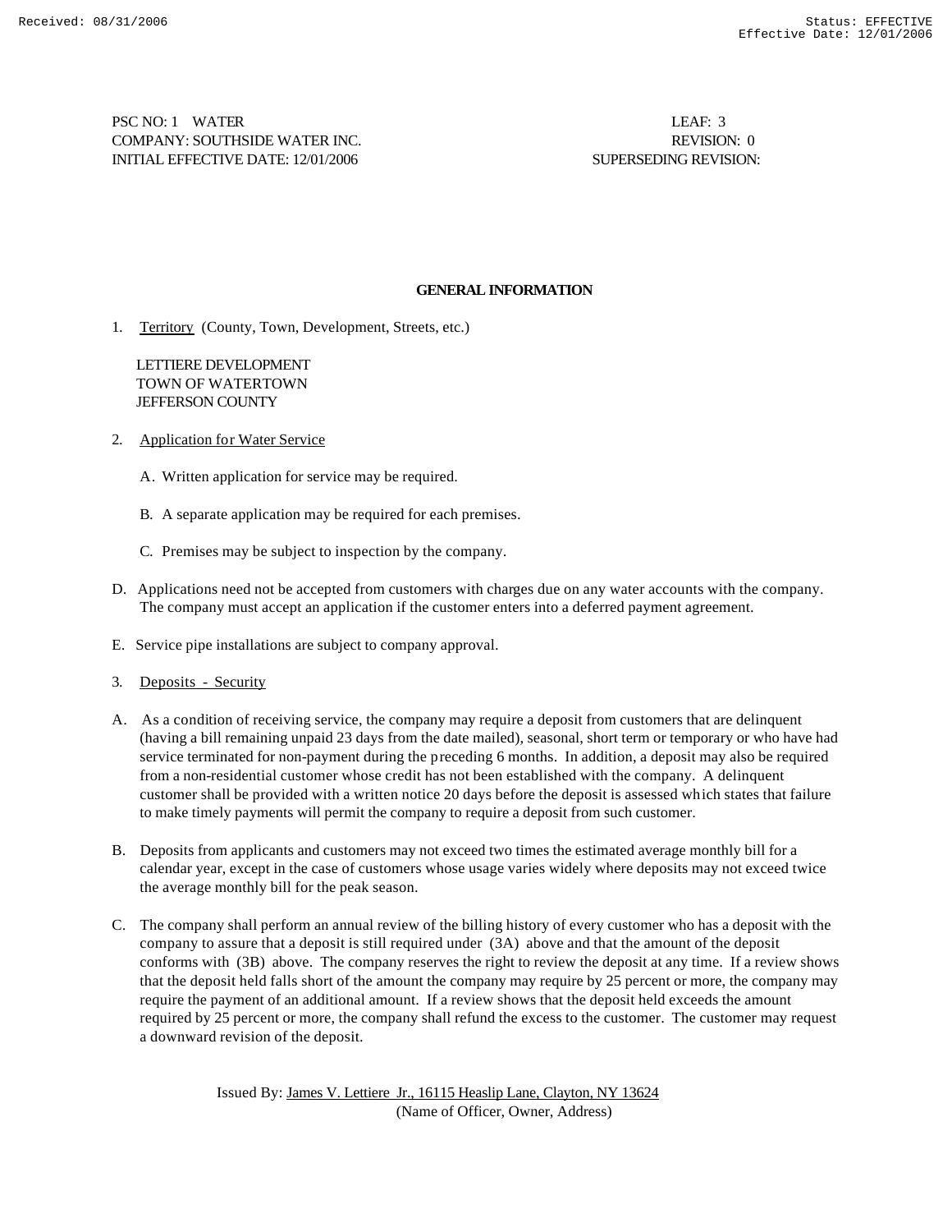PSC NO: 1 WATER LEAF: 3 COMPANY: SOUTHSIDE WATER INC. REVISION: 0 INITIAL EFFECTIVE DATE: 12/01/2006 SUPERSEDING REVISION:

## **GENERAL INFORMATION**

1. Territory (County, Town, Development, Streets, etc.)

 LETTIERE DEVELOPMENT TOWN OF WATERTOWN JEFFERSON COUNTY

- 2. Application for Water Service
	- A. Written application for service may be required.
	- B. A separate application may be required for each premises.
	- C. Premises may be subject to inspection by the company.
- D. Applications need not be accepted from customers with charges due on any water accounts with the company. The company must accept an application if the customer enters into a deferred payment agreement.
- E. Service pipe installations are subject to company approval.
- 3. Deposits Security
- A. As a condition of receiving service, the company may require a deposit from customers that are delinquent (having a bill remaining unpaid 23 days from the date mailed), seasonal, short term or temporary or who have had service terminated for non-payment during the preceding 6 months. In addition, a deposit may also be required from a non-residential customer whose credit has not been established with the company. A delinquent customer shall be provided with a written notice 20 days before the deposit is assessed which states that failure to make timely payments will permit the company to require a deposit from such customer.
- B. Deposits from applicants and customers may not exceed two times the estimated average monthly bill for a calendar year, except in the case of customers whose usage varies widely where deposits may not exceed twice the average monthly bill for the peak season.
- C. The company shall perform an annual review of the billing history of every customer who has a deposit with the company to assure that a deposit is still required under (3A) above and that the amount of the deposit conforms with (3B) above. The company reserves the right to review the deposit at any time. If a review shows that the deposit held falls short of the amount the company may require by 25 percent or more, the company may require the payment of an additional amount. If a review shows that the deposit held exceeds the amount required by 25 percent or more, the company shall refund the excess to the customer. The customer may request a downward revision of the deposit.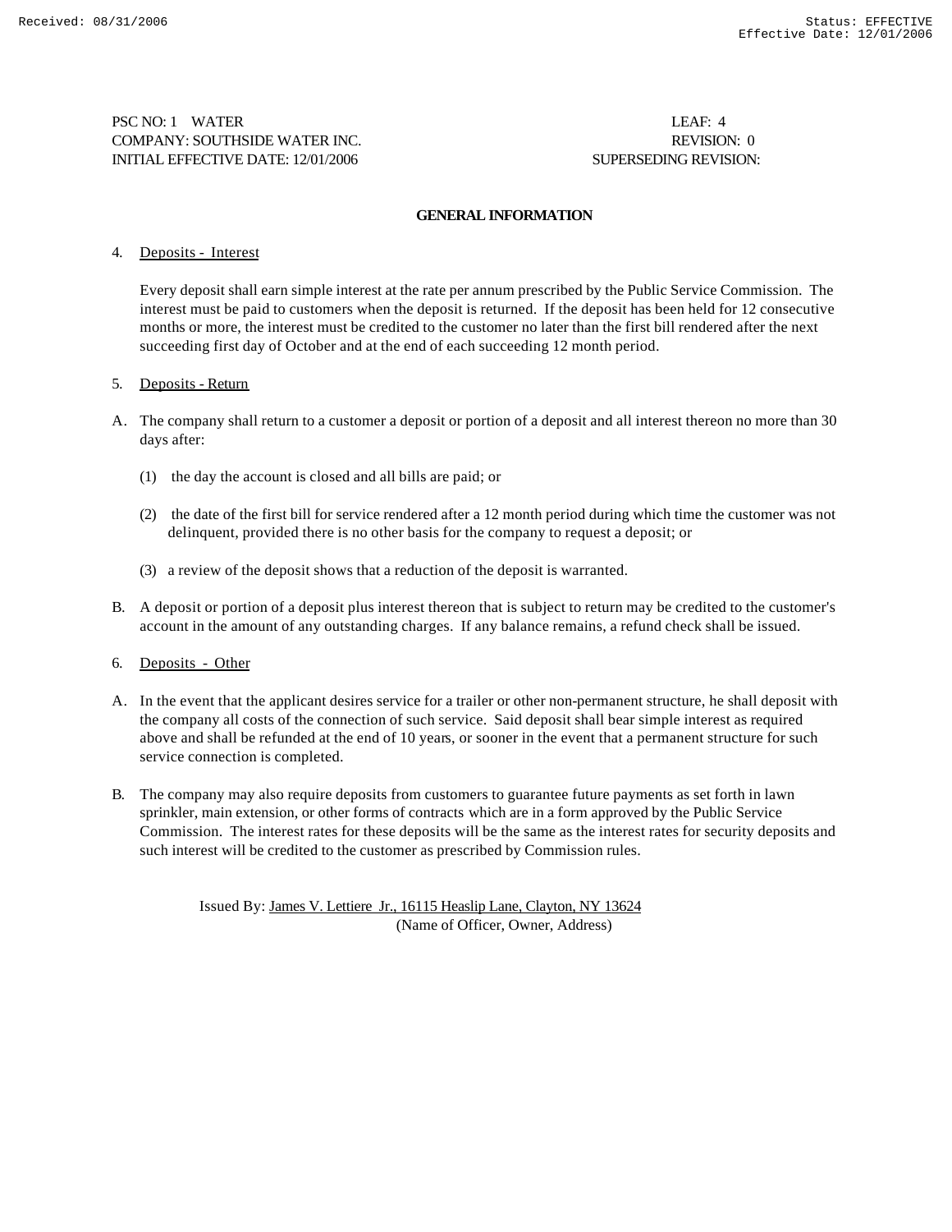PSC NO: 1 WATER LEAF: 4 COMPANY: SOUTHSIDE WATER INC. REVISION: 0 INITIAL EFFECTIVE DATE: 12/01/2006 SUPERSEDING REVISION:

### **GENERAL INFORMATION**

## 4. Deposits - Interest

Every deposit shall earn simple interest at the rate per annum prescribed by the Public Service Commission. The interest must be paid to customers when the deposit is returned. If the deposit has been held for 12 consecutive months or more, the interest must be credited to the customer no later than the first bill rendered after the next succeeding first day of October and at the end of each succeeding 12 month period.

## 5. Deposits - Return

- A. The company shall return to a customer a deposit or portion of a deposit and all interest thereon no more than 30 days after:
	- (1) the day the account is closed and all bills are paid; or
	- (2) the date of the first bill for service rendered after a 12 month period during which time the customer was not delinquent, provided there is no other basis for the company to request a deposit; or
	- (3) a review of the deposit shows that a reduction of the deposit is warranted.
- B. A deposit or portion of a deposit plus interest thereon that is subject to return may be credited to the customer's account in the amount of any outstanding charges. If any balance remains, a refund check shall be issued.
- 6. Deposits Other
- A. In the event that the applicant desires service for a trailer or other non-permanent structure, he shall deposit with the company all costs of the connection of such service. Said deposit shall bear simple interest as required above and shall be refunded at the end of 10 years, or sooner in the event that a permanent structure for such service connection is completed.
- B. The company may also require deposits from customers to guarantee future payments as set forth in lawn sprinkler, main extension, or other forms of contracts which are in a form approved by the Public Service Commission. The interest rates for these deposits will be the same as the interest rates for security deposits and such interest will be credited to the customer as prescribed by Commission rules.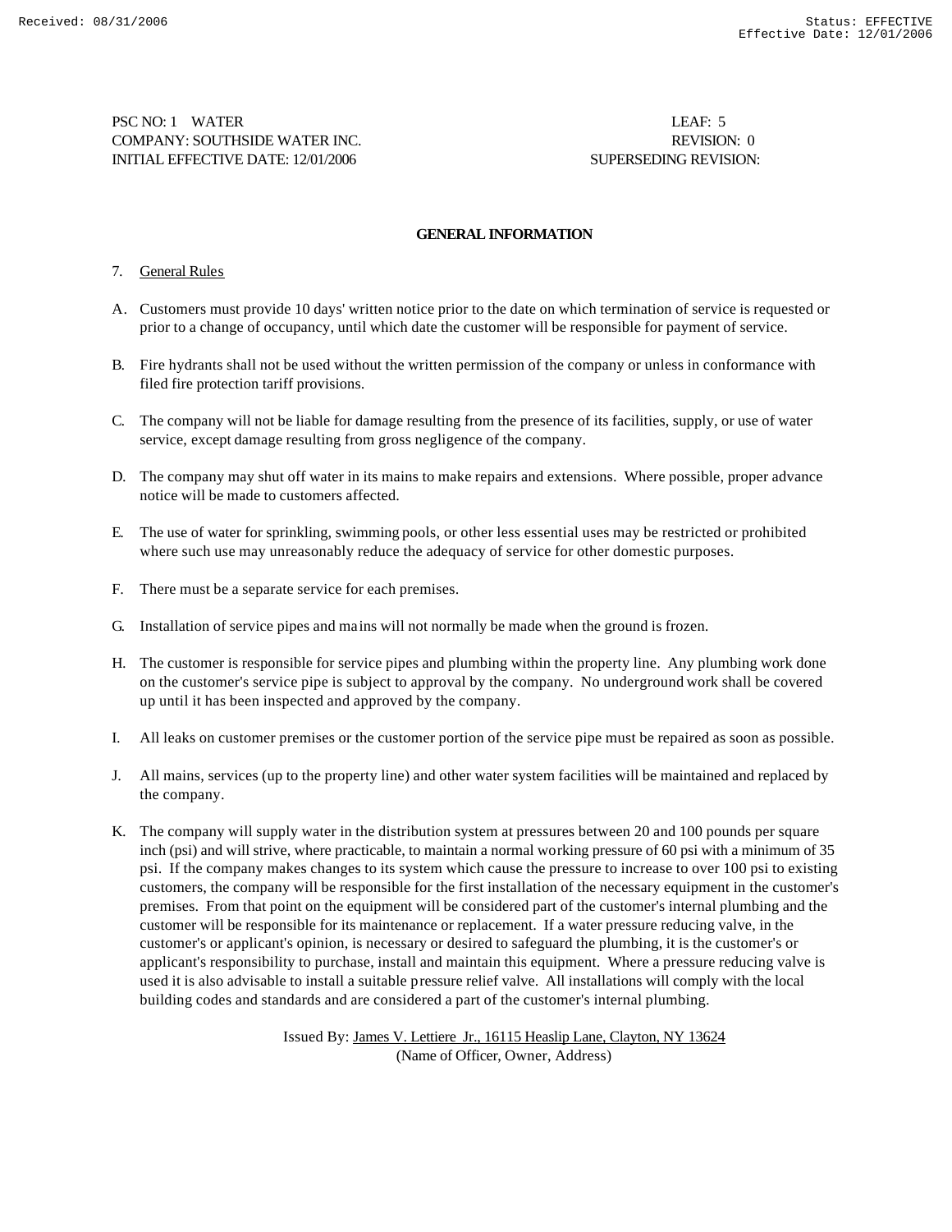PSC NO: 1 WATER LEAF: 5 COMPANY: SOUTHSIDE WATER INC. REVISION: 0 INITIAL EFFECTIVE DATE: 12/01/2006 SUPERSEDING REVISION:

## **GENERAL INFORMATION**

## 7. General Rules

- A. Customers must provide 10 days' written notice prior to the date on which termination of service is requested or prior to a change of occupancy, until which date the customer will be responsible for payment of service.
- B. Fire hydrants shall not be used without the written permission of the company or unless in conformance with filed fire protection tariff provisions.
- C. The company will not be liable for damage resulting from the presence of its facilities, supply, or use of water service, except damage resulting from gross negligence of the company.
- D. The company may shut off water in its mains to make repairs and extensions. Where possible, proper advance notice will be made to customers affected.
- E. The use of water for sprinkling, swimming pools, or other less essential uses may be restricted or prohibited where such use may unreasonably reduce the adequacy of service for other domestic purposes.
- F. There must be a separate service for each premises.
- G. Installation of service pipes and mains will not normally be made when the ground is frozen.
- H. The customer is responsible for service pipes and plumbing within the property line. Any plumbing work done on the customer's service pipe is subject to approval by the company. No underground work shall be covered up until it has been inspected and approved by the company.
- I. All leaks on customer premises or the customer portion of the service pipe must be repaired as soon as possible.
- J. All mains, services (up to the property line) and other water system facilities will be maintained and replaced by the company.
- K. The company will supply water in the distribution system at pressures between 20 and 100 pounds per square inch (psi) and will strive, where practicable, to maintain a normal working pressure of 60 psi with a minimum of 35 psi. If the company makes changes to its system which cause the pressure to increase to over 100 psi to existing customers, the company will be responsible for the first installation of the necessary equipment in the customer's premises. From that point on the equipment will be considered part of the customer's internal plumbing and the customer will be responsible for its maintenance or replacement. If a water pressure reducing valve, in the customer's or applicant's opinion, is necessary or desired to safeguard the plumbing, it is the customer's or applicant's responsibility to purchase, install and maintain this equipment. Where a pressure reducing valve is used it is also advisable to install a suitable pressure relief valve. All installations will comply with the local building codes and standards and are considered a part of the customer's internal plumbing.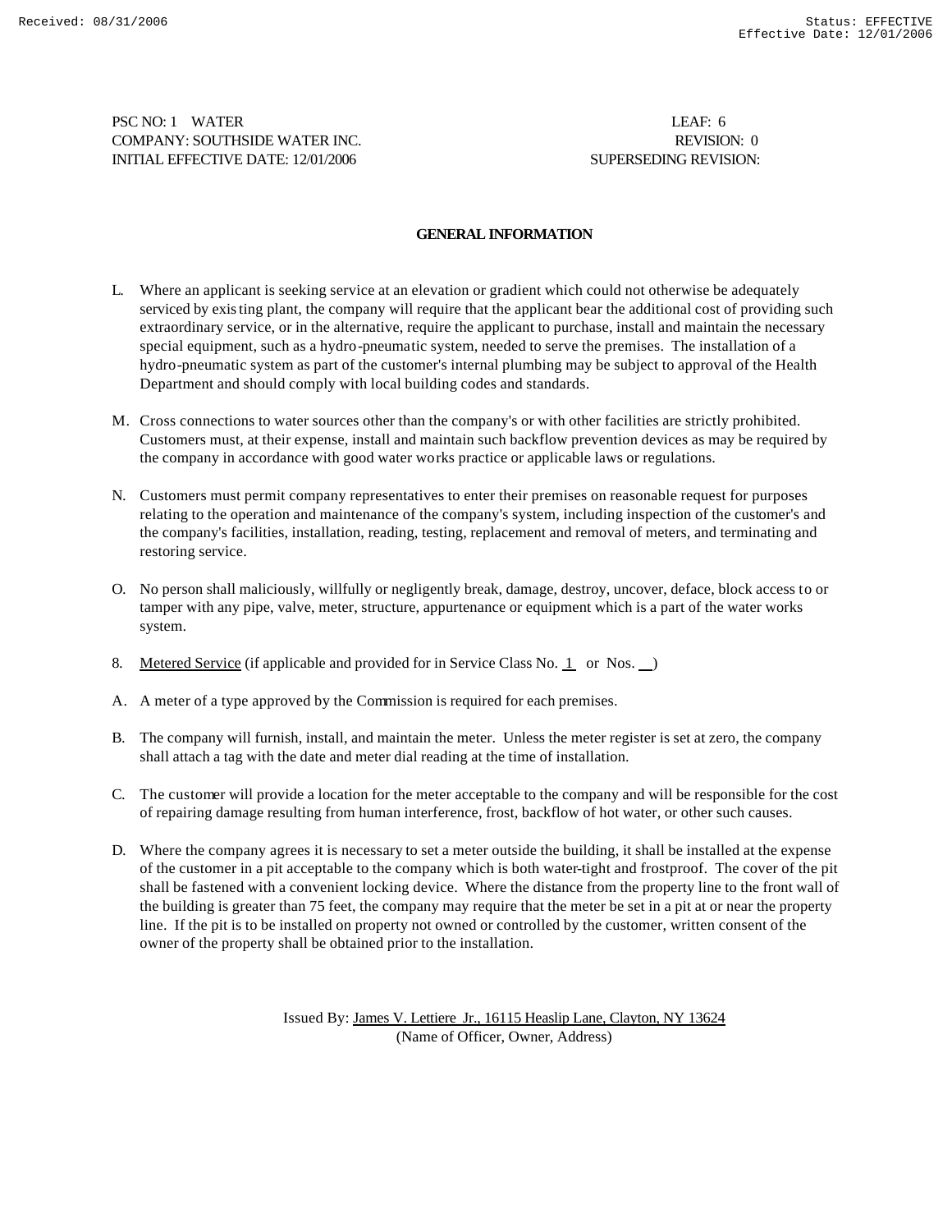PSC NO: 1 WATER LEAF: 6 COMPANY: SOUTHSIDE WATER INC. REVISION: 0 INITIAL EFFECTIVE DATE: 12/01/2006 SUPERSEDING REVISION:

## **GENERAL INFORMATION**

- L. Where an applicant is seeking service at an elevation or gradient which could not otherwise be adequately serviced by existing plant, the company will require that the applicant bear the additional cost of providing such extraordinary service, or in the alternative, require the applicant to purchase, install and maintain the necessary special equipment, such as a hydro-pneumatic system, needed to serve the premises. The installation of a hydro-pneumatic system as part of the customer's internal plumbing may be subject to approval of the Health Department and should comply with local building codes and standards.
- M. Cross connections to water sources other than the company's or with other facilities are strictly prohibited. Customers must, at their expense, install and maintain such backflow prevention devices as may be required by the company in accordance with good water works practice or applicable laws or regulations.
- N. Customers must permit company representatives to enter their premises on reasonable request for purposes relating to the operation and maintenance of the company's system, including inspection of the customer's and the company's facilities, installation, reading, testing, replacement and removal of meters, and terminating and restoring service.
- O. No person shall maliciously, willfully or negligently break, damage, destroy, uncover, deface, block access to or tamper with any pipe, valve, meter, structure, appurtenance or equipment which is a part of the water works system.
- 8. Metered Service (if applicable and provided for in Service Class No. 1 or Nos.  $\Box$ )
- A. A meter of a type approved by the Commission is required for each premises.
- B. The company will furnish, install, and maintain the meter. Unless the meter register is set at zero, the company shall attach a tag with the date and meter dial reading at the time of installation.
- C. The customer will provide a location for the meter acceptable to the company and will be responsible for the cost of repairing damage resulting from human interference, frost, backflow of hot water, or other such causes.
- D. Where the company agrees it is necessary to set a meter outside the building, it shall be installed at the expense of the customer in a pit acceptable to the company which is both water-tight and frostproof. The cover of the pit shall be fastened with a convenient locking device. Where the distance from the property line to the front wall of the building is greater than 75 feet, the company may require that the meter be set in a pit at or near the property line. If the pit is to be installed on property not owned or controlled by the customer, written consent of the owner of the property shall be obtained prior to the installation.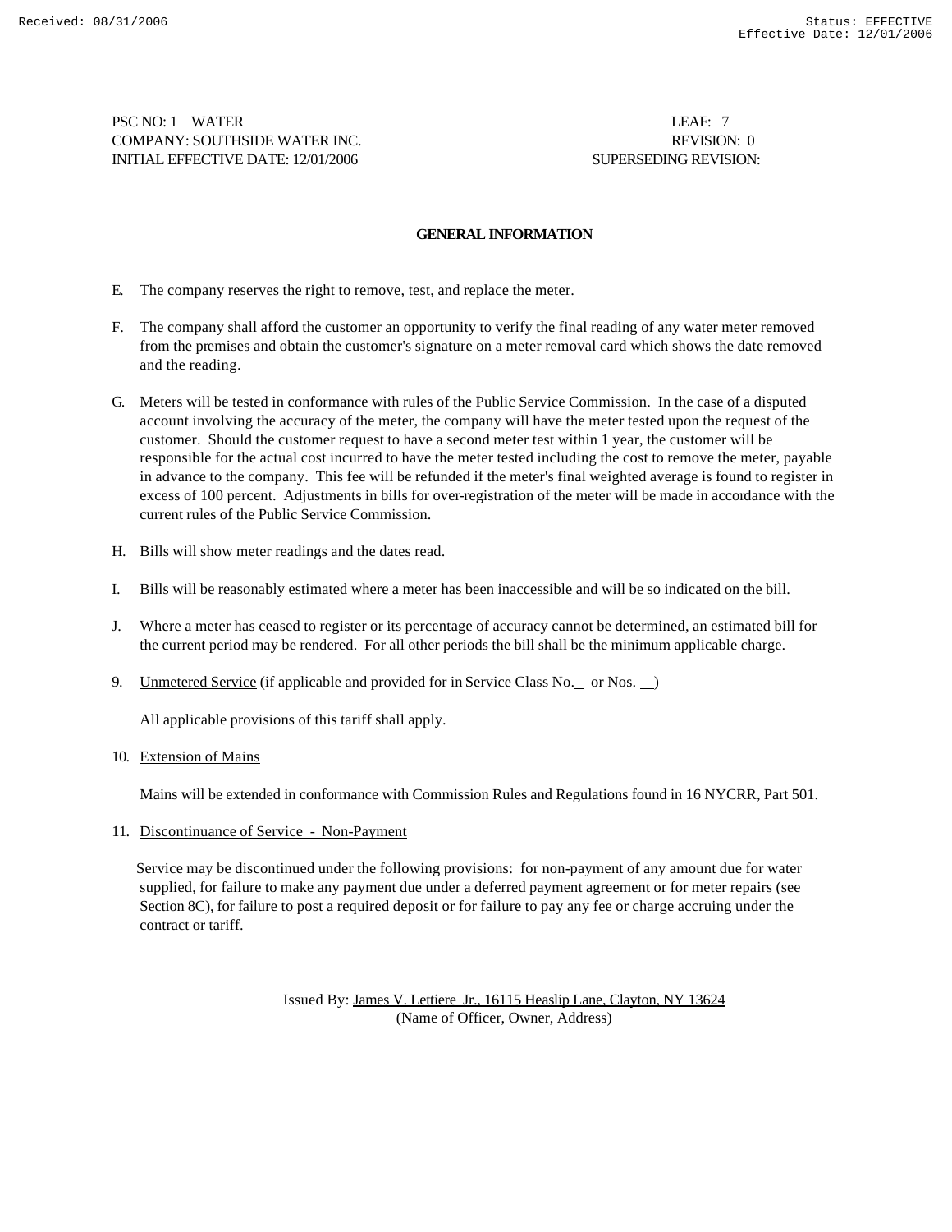PSC NO: 1 WATER LEAF: 7 COMPANY: SOUTHSIDE WATER INC. REVISION: 0 INITIAL EFFECTIVE DATE: 12/01/2006 SUPERSEDING REVISION:

### **GENERAL INFORMATION**

- E. The company reserves the right to remove, test, and replace the meter.
- F. The company shall afford the customer an opportunity to verify the final reading of any water meter removed from the premises and obtain the customer's signature on a meter removal card which shows the date removed and the reading.
- G. Meters will be tested in conformance with rules of the Public Service Commission. In the case of a disputed account involving the accuracy of the meter, the company will have the meter tested upon the request of the customer. Should the customer request to have a second meter test within 1 year, the customer will be responsible for the actual cost incurred to have the meter tested including the cost to remove the meter, payable in advance to the company. This fee will be refunded if the meter's final weighted average is found to register in excess of 100 percent. Adjustments in bills for over-registration of the meter will be made in accordance with the current rules of the Public Service Commission.
- H. Bills will show meter readings and the dates read.
- I. Bills will be reasonably estimated where a meter has been inaccessible and will be so indicated on the bill.
- J. Where a meter has ceased to register or its percentage of accuracy cannot be determined, an estimated bill for the current period may be rendered. For all other periods the bill shall be the minimum applicable charge.
- 9. Unmetered Service (if applicable and provided for in Service Class No. \_ or Nos. )

All applicable provisions of this tariff shall apply.

#### 10. Extension of Mains

Mains will be extended in conformance with Commission Rules and Regulations found in 16 NYCRR, Part 501.

11. Discontinuance of Service - Non-Payment

 Service may be discontinued under the following provisions: for non-payment of any amount due for water supplied, for failure to make any payment due under a deferred payment agreement or for meter repairs (see Section 8C), for failure to post a required deposit or for failure to pay any fee or charge accruing under the contract or tariff.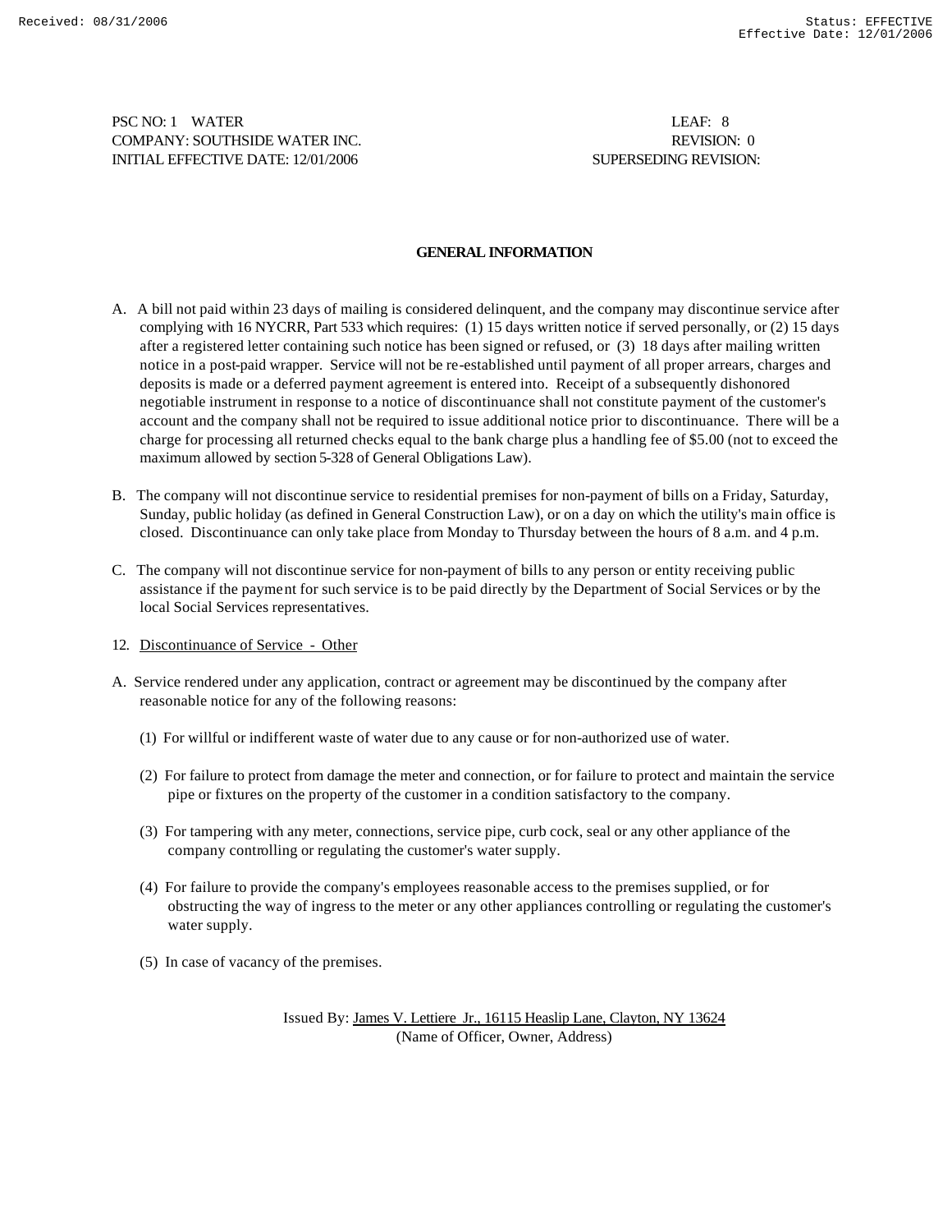PSC NO: 1 WATER LEAF: 8 COMPANY: SOUTHSIDE WATER INC. REVISION: 0 INITIAL EFFECTIVE DATE: 12/01/2006 SUPERSEDING REVISION:

## **GENERAL INFORMATION**

- A. A bill not paid within 23 days of mailing is considered delinquent, and the company may discontinue service after complying with 16 NYCRR, Part 533 which requires: (1) 15 days written notice if served personally, or (2) 15 days after a registered letter containing such notice has been signed or refused, or (3) 18 days after mailing written notice in a post-paid wrapper. Service will not be re-established until payment of all proper arrears, charges and deposits is made or a deferred payment agreement is entered into. Receipt of a subsequently dishonored negotiable instrument in response to a notice of discontinuance shall not constitute payment of the customer's account and the company shall not be required to issue additional notice prior to discontinuance. There will be a charge for processing all returned checks equal to the bank charge plus a handling fee of \$5.00 (not to exceed the maximum allowed by section 5-328 of General Obligations Law).
- B. The company will not discontinue service to residential premises for non-payment of bills on a Friday, Saturday, Sunday, public holiday (as defined in General Construction Law), or on a day on which the utility's main office is closed. Discontinuance can only take place from Monday to Thursday between the hours of 8 a.m. and 4 p.m.
- C. The company will not discontinue service for non-payment of bills to any person or entity receiving public assistance if the payment for such service is to be paid directly by the Department of Social Services or by the local Social Services representatives.
- 12. Discontinuance of Service Other
- A. Service rendered under any application, contract or agreement may be discontinued by the company after reasonable notice for any of the following reasons:
	- (1) For willful or indifferent waste of water due to any cause or for non-authorized use of water.
	- (2) For failure to protect from damage the meter and connection, or for failure to protect and maintain the service pipe or fixtures on the property of the customer in a condition satisfactory to the company.
	- (3) For tampering with any meter, connections, service pipe, curb cock, seal or any other appliance of the company controlling or regulating the customer's water supply.
	- (4) For failure to provide the company's employees reasonable access to the premises supplied, or for obstructing the way of ingress to the meter or any other appliances controlling or regulating the customer's water supply.
	- (5) In case of vacancy of the premises.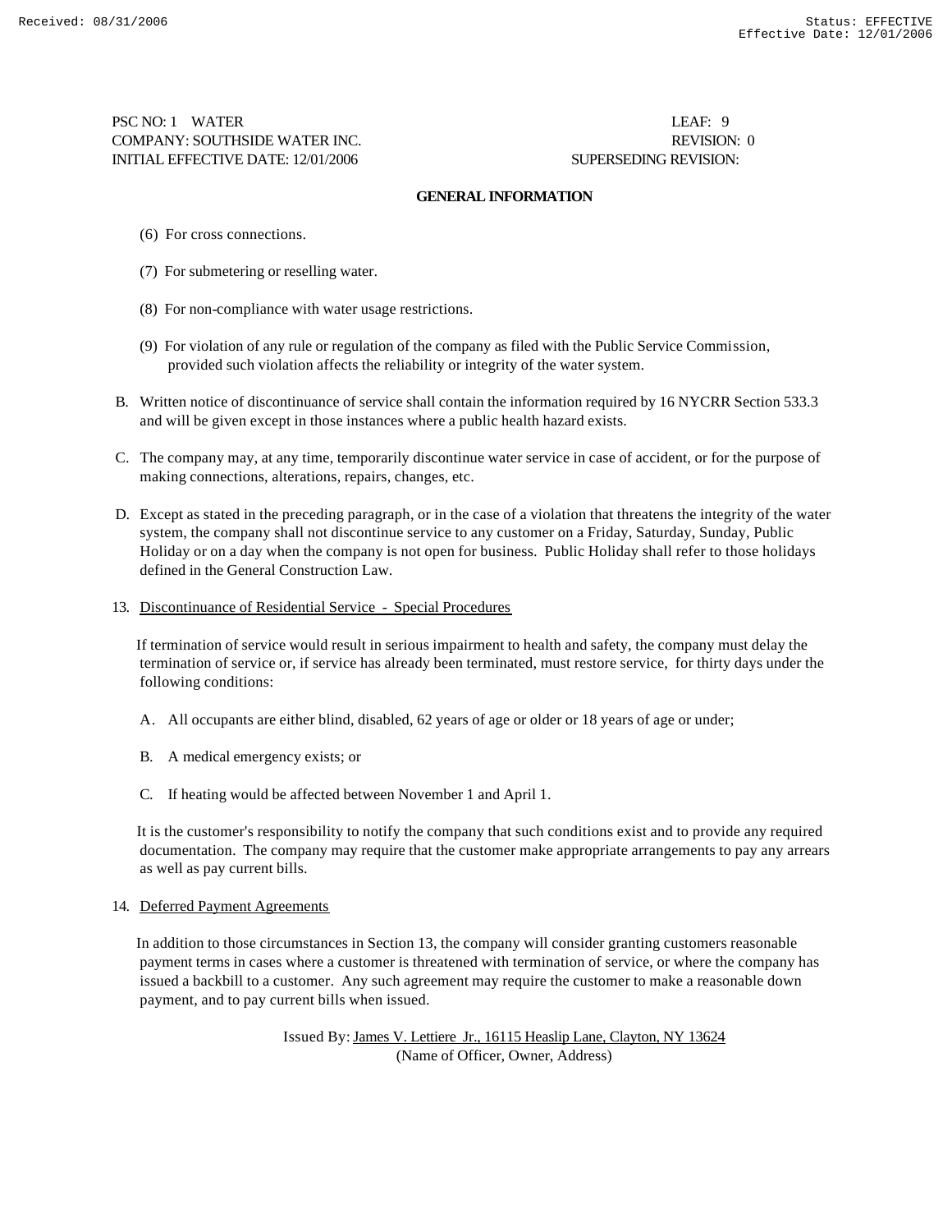PSC NO: 1 WATER LEAF: 9 COMPANY: SOUTHSIDE WATER INC. REVISION: 0 INITIAL EFFECTIVE DATE: 12/01/2006 SUPERSEDING REVISION:

## **GENERAL INFORMATION**

- (6) For cross connections.
- (7) For submetering or reselling water.
- (8) For non-compliance with water usage restrictions.
- (9) For violation of any rule or regulation of the company as filed with the Public Service Commission, provided such violation affects the reliability or integrity of the water system.
- B. Written notice of discontinuance of service shall contain the information required by 16 NYCRR Section 533.3 and will be given except in those instances where a public health hazard exists.
- C. The company may, at any time, temporarily discontinue water service in case of accident, or for the purpose of making connections, alterations, repairs, changes, etc.
- D. Except as stated in the preceding paragraph, or in the case of a violation that threatens the integrity of the water system, the company shall not discontinue service to any customer on a Friday, Saturday, Sunday, Public Holiday or on a day when the company is not open for business. Public Holiday shall refer to those holidays defined in the General Construction Law.
- 13. Discontinuance of Residential Service Special Procedures

 If termination of service would result in serious impairment to health and safety, the company must delay the termination of service or, if service has already been terminated, must restore service, for thirty days under the following conditions:

- A. All occupants are either blind, disabled, 62 years of age or older or 18 years of age or under;
- B. A medical emergency exists; or
- C. If heating would be affected between November 1 and April 1.

 It is the customer's responsibility to notify the company that such conditions exist and to provide any required documentation. The company may require that the customer make appropriate arrangements to pay any arrears as well as pay current bills.

#### 14. Deferred Payment Agreements

 In addition to those circumstances in Section 13, the company will consider granting customers reasonable payment terms in cases where a customer is threatened with termination of service, or where the company has issued a backbill to a customer. Any such agreement may require the customer to make a reasonable down payment, and to pay current bills when issued.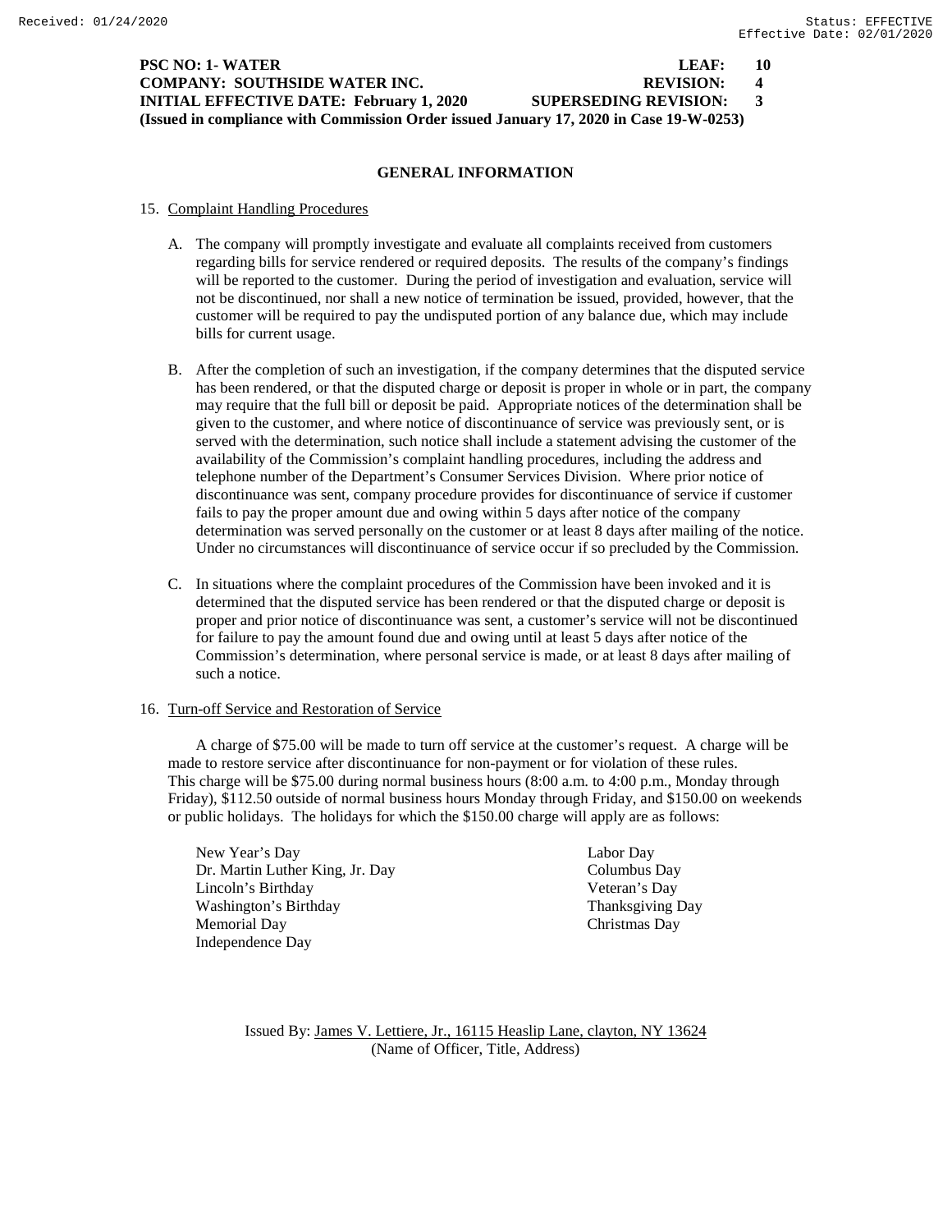| PSC NO: 1- WATER_                                                                      | LEAF:                        | -10            |  |  |  |
|----------------------------------------------------------------------------------------|------------------------------|----------------|--|--|--|
| COMPANY: SOUTHSIDE WATER INC.                                                          | <b>REVISION:</b>             | $\blacksquare$ |  |  |  |
| <b>INITIAL EFFECTIVE DATE: February 1, 2020</b>                                        | <b>SUPERSEDING REVISION:</b> | $\mathcal{R}$  |  |  |  |
| (Issued in compliance with Commission Order issued January 17, 2020 in Case 19-W-0253) |                              |                |  |  |  |

#### **GENERAL INFORMATION**

#### 15. Complaint Handling Procedures

- A. The company will promptly investigate and evaluate all complaints received from customers regarding bills for service rendered or required deposits. The results of the company's findings will be reported to the customer. During the period of investigation and evaluation, service will not be discontinued, nor shall a new notice of termination be issued, provided, however, that the customer will be required to pay the undisputed portion of any balance due, which may include bills for current usage.
- B. After the completion of such an investigation, if the company determines that the disputed service has been rendered, or that the disputed charge or deposit is proper in whole or in part, the company may require that the full bill or deposit be paid. Appropriate notices of the determination shall be given to the customer, and where notice of discontinuance of service was previously sent, or is served with the determination, such notice shall include a statement advising the customer of the availability of the Commission's complaint handling procedures, including the address and telephone number of the Department's Consumer Services Division. Where prior notice of discontinuance was sent, company procedure provides for discontinuance of service if customer fails to pay the proper amount due and owing within 5 days after notice of the company determination was served personally on the customer or at least 8 days after mailing of the notice. Under no circumstances will discontinuance of service occur if so precluded by the Commission.
- C. In situations where the complaint procedures of the Commission have been invoked and it is determined that the disputed service has been rendered or that the disputed charge or deposit is proper and prior notice of discontinuance was sent, a customer's service will not be discontinued for failure to pay the amount found due and owing until at least 5 days after notice of the Commission's determination, where personal service is made, or at least 8 days after mailing of such a notice.

## 16. Turn-off Service and Restoration of Service

A charge of \$75.00 will be made to turn off service at the customer's request. A charge will be made to restore service after discontinuance for non-payment or for violation of these rules. This charge will be \$75.00 during normal business hours (8:00 a.m. to 4:00 p.m., Monday through Friday), \$112.50 outside of normal business hours Monday through Friday, and \$150.00 on weekends or public holidays. The holidays for which the \$150.00 charge will apply are as follows:

New Year's Day Labor Day Dr. Martin Luther King, Jr. Day Columbus Day Lincoln's Birthday Veteran's Day Washington's Birthday Thanksgiving Day Memorial Day Christmas Day Independence Day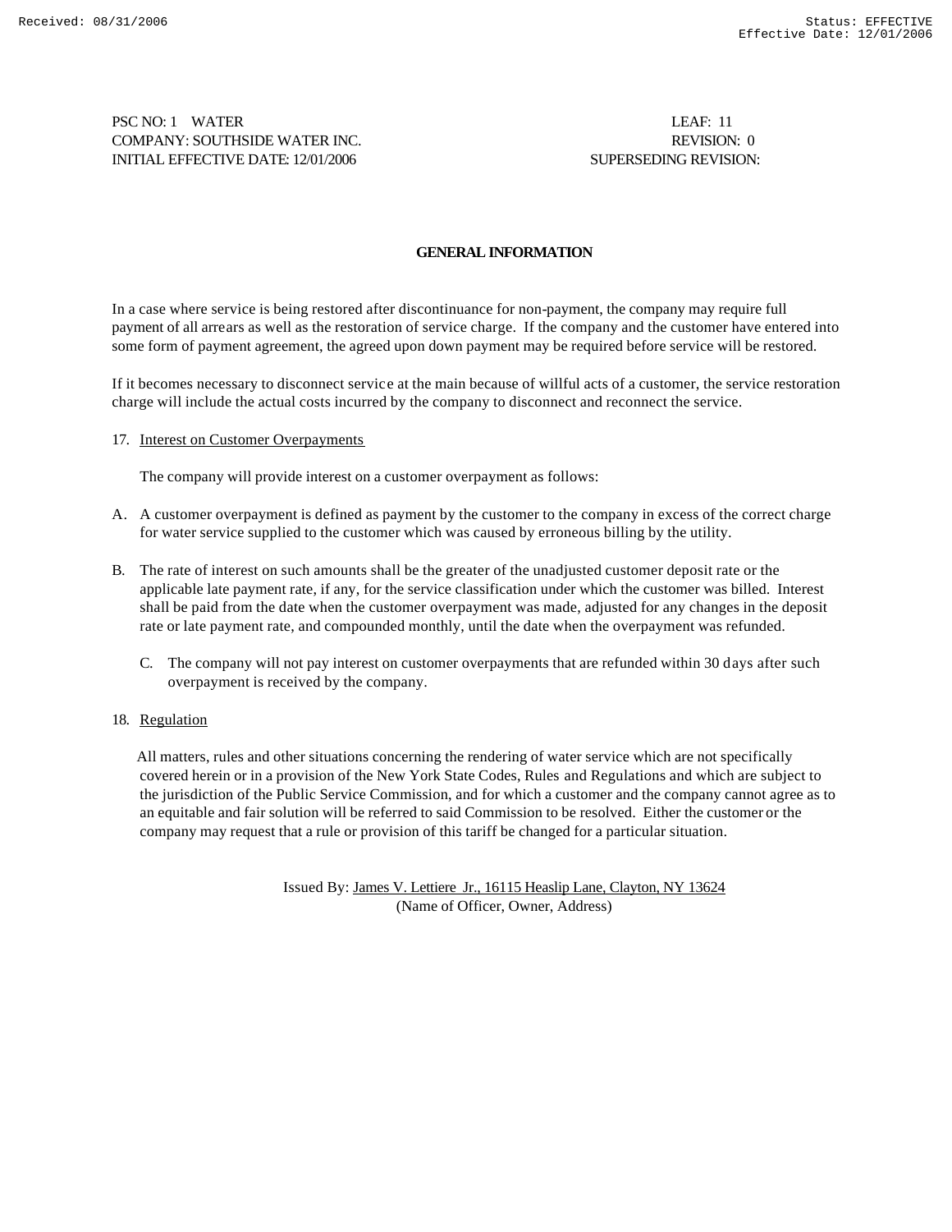PSC NO: 1 WATER LEAF: 11 COMPANY: SOUTHSIDE WATER INC. REVISION: 0 INITIAL EFFECTIVE DATE: 12/01/2006 SUPERSEDING REVISION:

## **GENERAL INFORMATION**

In a case where service is being restored after discontinuance for non-payment, the company may require full payment of all arrears as well as the restoration of service charge. If the company and the customer have entered into some form of payment agreement, the agreed upon down payment may be required before service will be restored.

If it becomes necessary to disconnect service at the main because of willful acts of a customer, the service restoration charge will include the actual costs incurred by the company to disconnect and reconnect the service.

17. Interest on Customer Overpayments

The company will provide interest on a customer overpayment as follows:

- A. A customer overpayment is defined as payment by the customer to the company in excess of the correct charge for water service supplied to the customer which was caused by erroneous billing by the utility.
- B. The rate of interest on such amounts shall be the greater of the unadjusted customer deposit rate or the applicable late payment rate, if any, for the service classification under which the customer was billed. Interest shall be paid from the date when the customer overpayment was made, adjusted for any changes in the deposit rate or late payment rate, and compounded monthly, until the date when the overpayment was refunded.
	- C. The company will not pay interest on customer overpayments that are refunded within 30 days after such overpayment is received by the company.
- 18. Regulation

 All matters, rules and other situations concerning the rendering of water service which are not specifically covered herein or in a provision of the New York State Codes, Rules and Regulations and which are subject to the jurisdiction of the Public Service Commission, and for which a customer and the company cannot agree as to an equitable and fair solution will be referred to said Commission to be resolved. Either the customer or the company may request that a rule or provision of this tariff be changed for a particular situation.